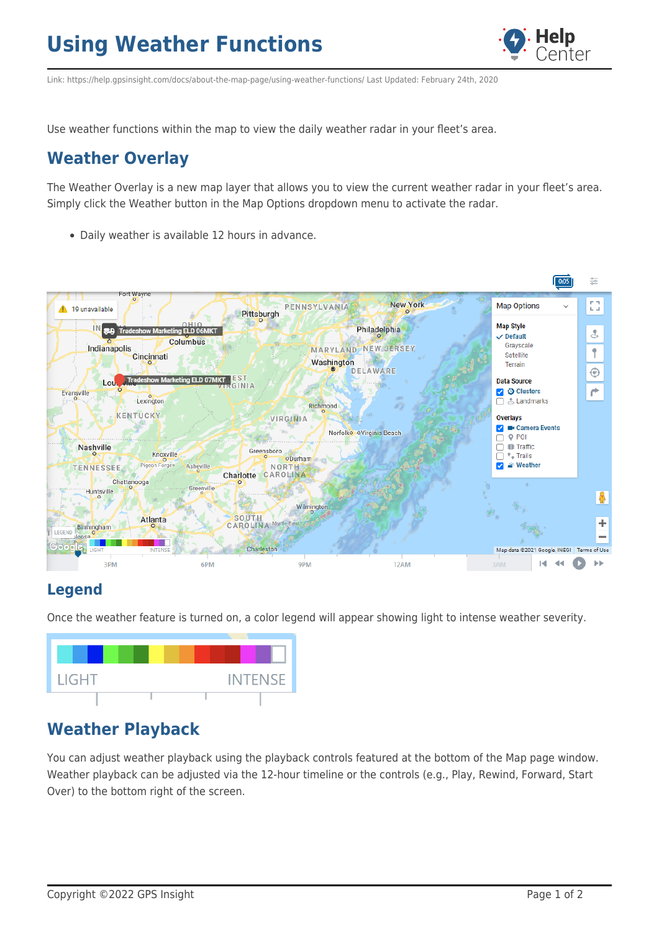# **Using Weather Functions**



Link: https://help.gpsinsight.com/docs/about-the-map-page/using-weather-functions/ Last Updated: February 24th, 2020

Use weather functions within the map to view the daily weather radar in your fleet's area.

### **Weather Overlay**

The Weather Overlay is a new map layer that allows you to view the current weather radar in your fleet's area. Simply click the Weather button in the Map Options dropdown menu to activate the radar.

Daily weather is available 12 hours in advance.



#### **Legend**

Once the weather feature is turned on, a color legend will appear showing light to intense weather severity.



## **Weather Playback**

You can adjust weather playback using the playback controls featured at the bottom of the Map page window. Weather playback can be adjusted via the 12-hour timeline or the controls (e.g., Play, Rewind, Forward, Start Over) to the bottom right of the screen.